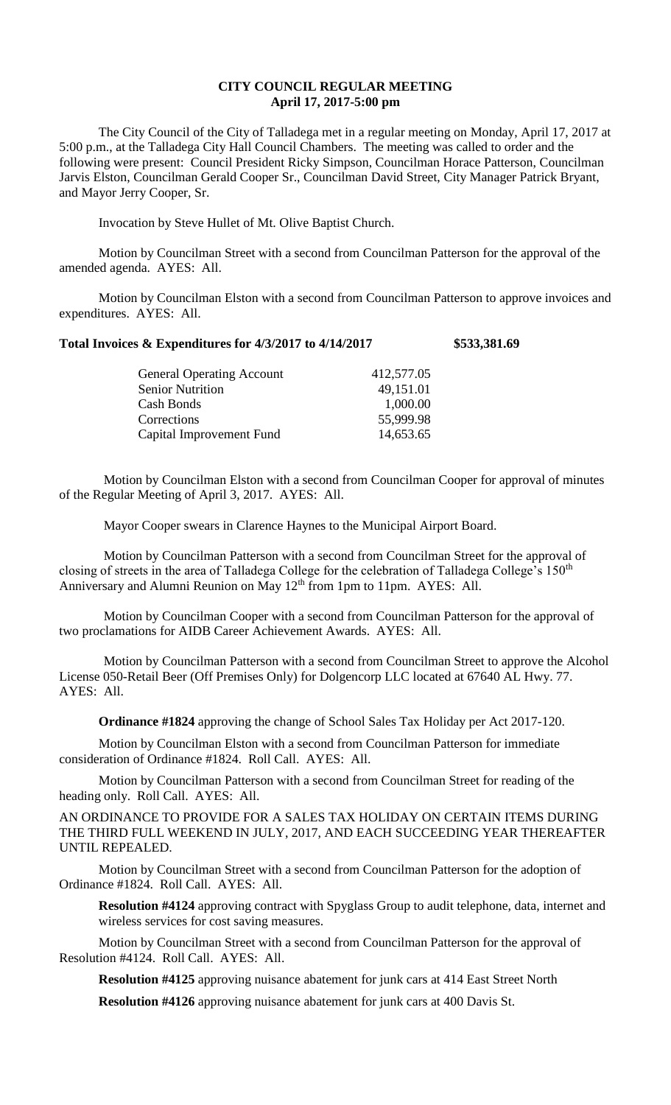## **CITY COUNCIL REGULAR MEETING April 17, 2017-5:00 pm**

The City Council of the City of Talladega met in a regular meeting on Monday, April 17, 2017 at 5:00 p.m., at the Talladega City Hall Council Chambers. The meeting was called to order and the following were present: Council President Ricky Simpson, Councilman Horace Patterson, Councilman Jarvis Elston, Councilman Gerald Cooper Sr., Councilman David Street, City Manager Patrick Bryant, and Mayor Jerry Cooper, Sr.

Invocation by Steve Hullet of Mt. Olive Baptist Church.

Motion by Councilman Street with a second from Councilman Patterson for the approval of the amended agenda. AYES: All.

Motion by Councilman Elston with a second from Councilman Patterson to approve invoices and expenditures. AYES: All.

## **Total Invoices & Expenditures for 4/3/2017 to 4/14/2017 \$533,381.69**

| 412,577.05 |
|------------|
| 49,151.01  |
| 1,000.00   |
| 55,999.98  |
| 14,653.65  |
|            |

Motion by Councilman Elston with a second from Councilman Cooper for approval of minutes of the Regular Meeting of April 3, 2017. AYES: All.

Mayor Cooper swears in Clarence Haynes to the Municipal Airport Board.

Motion by Councilman Patterson with a second from Councilman Street for the approval of closing of streets in the area of Talladega College for the celebration of Talladega College's 150<sup>th</sup> Anniversary and Alumni Reunion on May 12<sup>th</sup> from 1pm to 11pm. AYES: All.

Motion by Councilman Cooper with a second from Councilman Patterson for the approval of two proclamations for AIDB Career Achievement Awards. AYES: All.

Motion by Councilman Patterson with a second from Councilman Street to approve the Alcohol License 050-Retail Beer (Off Premises Only) for Dolgencorp LLC located at 67640 AL Hwy. 77. AYES: All.

**Ordinance #1824** approving the change of School Sales Tax Holiday per Act 2017-120.

Motion by Councilman Elston with a second from Councilman Patterson for immediate consideration of Ordinance #1824. Roll Call. AYES: All.

Motion by Councilman Patterson with a second from Councilman Street for reading of the heading only. Roll Call. AYES: All.

AN ORDINANCE TO PROVIDE FOR A SALES TAX HOLIDAY ON CERTAIN ITEMS DURING THE THIRD FULL WEEKEND IN JULY, 2017, AND EACH SUCCEEDING YEAR THEREAFTER UNTIL REPEALED.

Motion by Councilman Street with a second from Councilman Patterson for the adoption of Ordinance #1824. Roll Call. AYES: All.

**Resolution #4124** approving contract with Spyglass Group to audit telephone, data, internet and wireless services for cost saving measures.

Motion by Councilman Street with a second from Councilman Patterson for the approval of Resolution #4124. Roll Call. AYES: All.

**Resolution #4125** approving nuisance abatement for junk cars at 414 East Street North

**Resolution #4126** approving nuisance abatement for junk cars at 400 Davis St.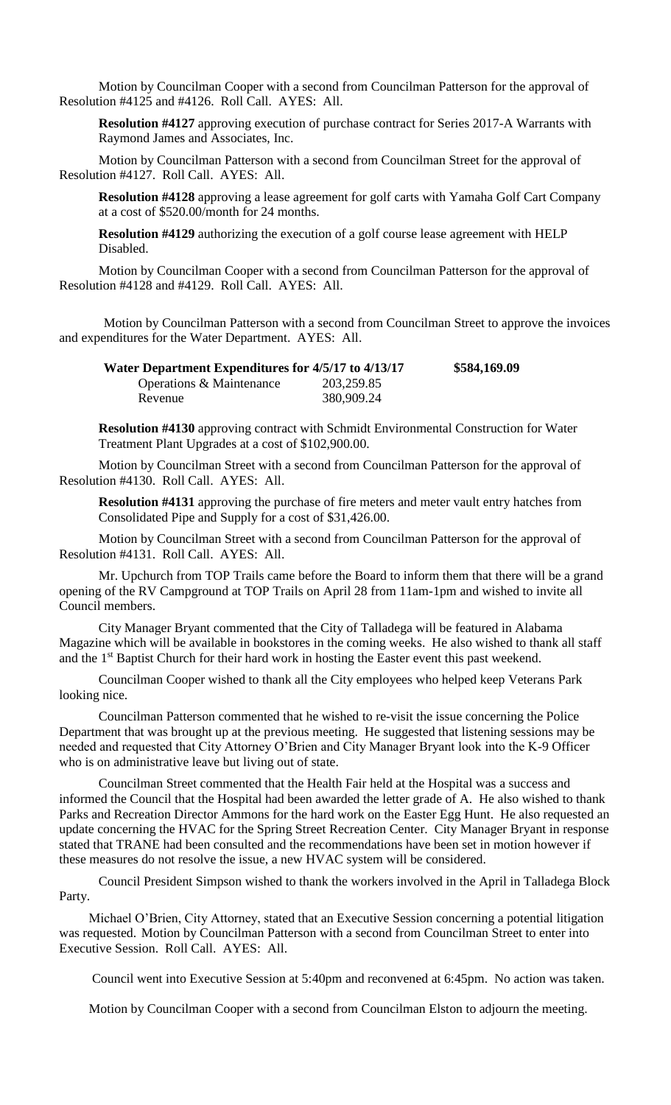Motion by Councilman Cooper with a second from Councilman Patterson for the approval of Resolution #4125 and #4126. Roll Call. AYES: All.

**Resolution #4127** approving execution of purchase contract for Series 2017-A Warrants with Raymond James and Associates, Inc.

Motion by Councilman Patterson with a second from Councilman Street for the approval of Resolution #4127. Roll Call. AYES: All.

**Resolution #4128** approving a lease agreement for golf carts with Yamaha Golf Cart Company at a cost of \$520.00/month for 24 months.

**Resolution #4129** authorizing the execution of a golf course lease agreement with HELP Disabled.

Motion by Councilman Cooper with a second from Councilman Patterson for the approval of Resolution #4128 and #4129. Roll Call. AYES: All.

Motion by Councilman Patterson with a second from Councilman Street to approve the invoices and expenditures for the Water Department. AYES: All.

| Water Department Expenditures for 4/5/17 to 4/13/17 |            | \$584,169.09 |
|-----------------------------------------------------|------------|--------------|
| Operations & Maintenance                            | 203,259.85 |              |
| Revenue                                             | 380,909.24 |              |

**Resolution #4130** approving contract with Schmidt Environmental Construction for Water Treatment Plant Upgrades at a cost of \$102,900.00.

Motion by Councilman Street with a second from Councilman Patterson for the approval of Resolution #4130. Roll Call. AYES: All.

**Resolution #4131** approving the purchase of fire meters and meter vault entry hatches from Consolidated Pipe and Supply for a cost of \$31,426.00.

Motion by Councilman Street with a second from Councilman Patterson for the approval of Resolution #4131. Roll Call. AYES: All.

Mr. Upchurch from TOP Trails came before the Board to inform them that there will be a grand opening of the RV Campground at TOP Trails on April 28 from 11am-1pm and wished to invite all Council members.

City Manager Bryant commented that the City of Talladega will be featured in Alabama Magazine which will be available in bookstores in the coming weeks. He also wished to thank all staff and the 1<sup>st</sup> Baptist Church for their hard work in hosting the Easter event this past weekend.

Councilman Cooper wished to thank all the City employees who helped keep Veterans Park looking nice.

Councilman Patterson commented that he wished to re-visit the issue concerning the Police Department that was brought up at the previous meeting. He suggested that listening sessions may be needed and requested that City Attorney O'Brien and City Manager Bryant look into the K-9 Officer who is on administrative leave but living out of state.

Councilman Street commented that the Health Fair held at the Hospital was a success and informed the Council that the Hospital had been awarded the letter grade of A. He also wished to thank Parks and Recreation Director Ammons for the hard work on the Easter Egg Hunt. He also requested an update concerning the HVAC for the Spring Street Recreation Center. City Manager Bryant in response stated that TRANE had been consulted and the recommendations have been set in motion however if these measures do not resolve the issue, a new HVAC system will be considered.

Council President Simpson wished to thank the workers involved in the April in Talladega Block Party.

Michael O'Brien, City Attorney, stated that an Executive Session concerning a potential litigation was requested. Motion by Councilman Patterson with a second from Councilman Street to enter into Executive Session. Roll Call. AYES: All.

Council went into Executive Session at 5:40pm and reconvened at 6:45pm. No action was taken.

Motion by Councilman Cooper with a second from Councilman Elston to adjourn the meeting.